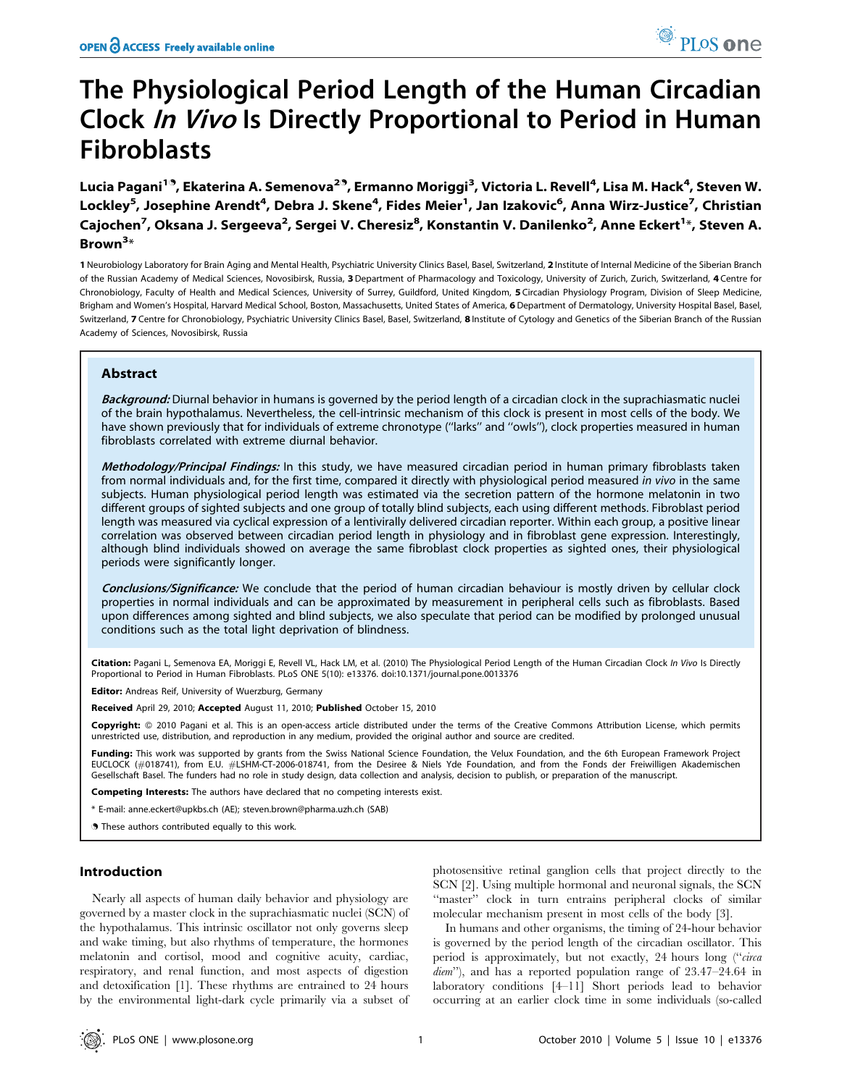# The Physiological Period Length of the Human Circadian Clock In Vivo Is Directly Proportional to Period in Human Fibroblasts

Lucia Pagani<sup>19</sup>, Ekaterina A. Semenova<sup>29</sup>, Ermanno Moriggi<sup>3</sup>, Victoria L. Revell<sup>4</sup>, Lisa M. Hack<sup>4</sup>, Steven W. Lockley<sup>5</sup>, Josephine Arendt<sup>4</sup>, Debra J. Skene<sup>4</sup>, Fides Meier<sup>1</sup>, Jan Izakovic<sup>6</sup>, Anna Wirz-Justice<sup>7</sup>, Christian Cajochen<sup>7</sup>, Oksana J. Sergeeva<sup>2</sup>, Sergei V. Cheresiz<sup>8</sup>, Konstantin V. Danilenko<sup>2</sup>, Anne Eckert<sup>1</sup>\*, Steven A. Brown<sup>3</sup>\*

1 Neurobiology Laboratory for Brain Aging and Mental Health, Psychiatric University Clinics Basel, Basel, Switzerland, 2 Institute of Internal Medicine of the Siberian Branch of the Russian Academy of Medical Sciences, Novosibirsk, Russia, 3Department of Pharmacology and Toxicology, University of Zurich, Zurich, Switzerland, 4 Centre for Chronobiology, Faculty of Health and Medical Sciences, University of Surrey, Guildford, United Kingdom, 5 Circadian Physiology Program, Division of Sleep Medicine, Brigham and Women's Hospital, Harvard Medical School, Boston, Massachusetts, United States of America, 6 Department of Dermatology, University Hospital Basel, Basel, Switzerland, 7 Centre for Chronobiology, Psychiatric University Clinics Basel, Basel, Switzerland, 8 Institute of Cytology and Genetics of the Siberian Branch of the Russian Academy of Sciences, Novosibirsk, Russia

# Abstract

Background: Diurnal behavior in humans is governed by the period length of a circadian clock in the suprachiasmatic nuclei of the brain hypothalamus. Nevertheless, the cell-intrinsic mechanism of this clock is present in most cells of the body. We have shown previously that for individuals of extreme chronotype (''larks'' and ''owls''), clock properties measured in human fibroblasts correlated with extreme diurnal behavior.

Methodology/Principal Findings: In this study, we have measured circadian period in human primary fibroblasts taken from normal individuals and, for the first time, compared it directly with physiological period measured in vivo in the same subjects. Human physiological period length was estimated via the secretion pattern of the hormone melatonin in two different groups of sighted subjects and one group of totally blind subjects, each using different methods. Fibroblast period length was measured via cyclical expression of a lentivirally delivered circadian reporter. Within each group, a positive linear correlation was observed between circadian period length in physiology and in fibroblast gene expression. Interestingly, although blind individuals showed on average the same fibroblast clock properties as sighted ones, their physiological periods were significantly longer.

Conclusions/Significance: We conclude that the period of human circadian behaviour is mostly driven by cellular clock properties in normal individuals and can be approximated by measurement in peripheral cells such as fibroblasts. Based upon differences among sighted and blind subjects, we also speculate that period can be modified by prolonged unusual conditions such as the total light deprivation of blindness.

Citation: Pagani L, Semenova EA, Moriggi E, Revell VL, Hack LM, et al. (2010) The Physiological Period Length of the Human Circadian Clock In Vivo Is Directly Proportional to Period in Human Fibroblasts. PLoS ONE 5(10): e13376. doi:10.1371/journal.pone.0013376

Editor: Andreas Reif, University of Wuerzburg, Germany

Received April 29, 2010; Accepted August 11, 2010; Published October 15, 2010

Copyright: © 2010 Pagani et al. This is an open-access article distributed under the terms of the Creative Commons Attribution License, which permits unrestricted use, distribution, and reproduction in any medium, provided the original author and source are credited.

Funding: This work was supported by grants from the Swiss National Science Foundation, the Velux Foundation, and the 6th European Framework Project EUCLOCK (#018741), from E.U. #LSHM-CT-2006-018741, from the Desiree & Niels Yde Foundation, and from the Fonds der Freiwilligen Akademischen Gesellschaft Basel. The funders had no role in study design, data collection and analysis, decision to publish, or preparation of the manuscript.

Competing Interests: The authors have declared that no competing interests exist.

\* E-mail: anne.eckert@upkbs.ch (AE); steven.brown@pharma.uzh.ch (SAB)

**.** These authors contributed equally to this work.

# Introduction

Nearly all aspects of human daily behavior and physiology are governed by a master clock in the suprachiasmatic nuclei (SCN) of the hypothalamus. This intrinsic oscillator not only governs sleep and wake timing, but also rhythms of temperature, the hormones melatonin and cortisol, mood and cognitive acuity, cardiac, respiratory, and renal function, and most aspects of digestion and detoxification [1]. These rhythms are entrained to 24 hours by the environmental light-dark cycle primarily via a subset of

photosensitive retinal ganglion cells that project directly to the SCN [2]. Using multiple hormonal and neuronal signals, the SCN "master" clock in turn entrains peripheral clocks of similar molecular mechanism present in most cells of the body [3].

In humans and other organisms, the timing of 24-hour behavior is governed by the period length of the circadian oscillator. This period is approximately, but not exactly, 24 hours long ("circa diem''), and has a reported population range of 23.47-24.64 in laboratory conditions [4–11] Short periods lead to behavior occurring at an earlier clock time in some individuals (so-called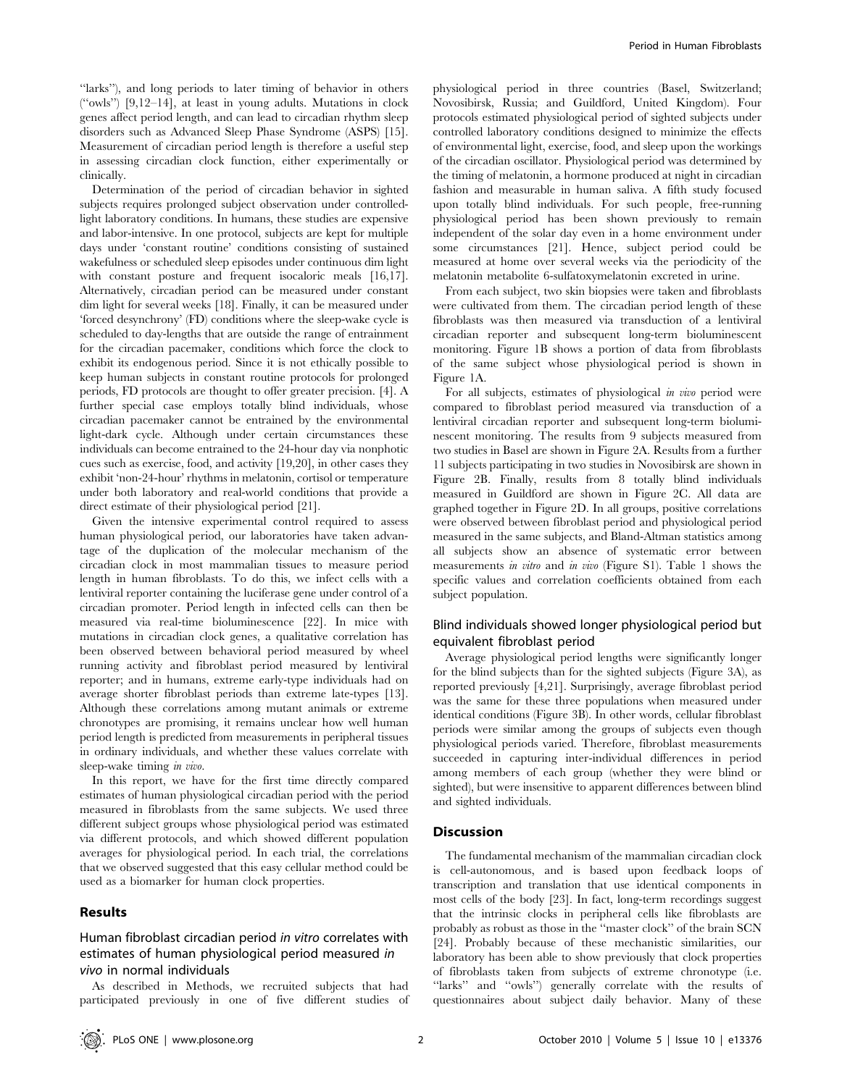''larks''), and long periods to later timing of behavior in others ("owls")  $[9,12-14]$ , at least in young adults. Mutations in clock genes affect period length, and can lead to circadian rhythm sleep disorders such as Advanced Sleep Phase Syndrome (ASPS) [15]. Measurement of circadian period length is therefore a useful step in assessing circadian clock function, either experimentally or clinically.

Determination of the period of circadian behavior in sighted subjects requires prolonged subject observation under controlledlight laboratory conditions. In humans, these studies are expensive and labor-intensive. In one protocol, subjects are kept for multiple days under 'constant routine' conditions consisting of sustained wakefulness or scheduled sleep episodes under continuous dim light with constant posture and frequent isocaloric meals [16,17]. Alternatively, circadian period can be measured under constant dim light for several weeks [18]. Finally, it can be measured under 'forced desynchrony' (FD) conditions where the sleep-wake cycle is scheduled to day-lengths that are outside the range of entrainment for the circadian pacemaker, conditions which force the clock to exhibit its endogenous period. Since it is not ethically possible to keep human subjects in constant routine protocols for prolonged periods, FD protocols are thought to offer greater precision. [4]. A further special case employs totally blind individuals, whose circadian pacemaker cannot be entrained by the environmental light-dark cycle. Although under certain circumstances these individuals can become entrained to the 24-hour day via nonphotic cues such as exercise, food, and activity [19,20], in other cases they exhibit 'non-24-hour' rhythms in melatonin, cortisol or temperature under both laboratory and real-world conditions that provide a direct estimate of their physiological period [21].

Given the intensive experimental control required to assess human physiological period, our laboratories have taken advantage of the duplication of the molecular mechanism of the circadian clock in most mammalian tissues to measure period length in human fibroblasts. To do this, we infect cells with a lentiviral reporter containing the luciferase gene under control of a circadian promoter. Period length in infected cells can then be measured via real-time bioluminescence [22]. In mice with mutations in circadian clock genes, a qualitative correlation has been observed between behavioral period measured by wheel running activity and fibroblast period measured by lentiviral reporter; and in humans, extreme early-type individuals had on average shorter fibroblast periods than extreme late-types [13]. Although these correlations among mutant animals or extreme chronotypes are promising, it remains unclear how well human period length is predicted from measurements in peripheral tissues in ordinary individuals, and whether these values correlate with sleep-wake timing in vivo.

In this report, we have for the first time directly compared estimates of human physiological circadian period with the period measured in fibroblasts from the same subjects. We used three different subject groups whose physiological period was estimated via different protocols, and which showed different population averages for physiological period. In each trial, the correlations that we observed suggested that this easy cellular method could be used as a biomarker for human clock properties.

# Results

# Human fibroblast circadian period in vitro correlates with estimates of human physiological period measured in vivo in normal individuals

As described in Methods, we recruited subjects that had participated previously in one of five different studies of physiological period in three countries (Basel, Switzerland; Novosibirsk, Russia; and Guildford, United Kingdom). Four protocols estimated physiological period of sighted subjects under controlled laboratory conditions designed to minimize the effects of environmental light, exercise, food, and sleep upon the workings of the circadian oscillator. Physiological period was determined by the timing of melatonin, a hormone produced at night in circadian fashion and measurable in human saliva. A fifth study focused upon totally blind individuals. For such people, free-running physiological period has been shown previously to remain independent of the solar day even in a home environment under some circumstances [21]. Hence, subject period could be measured at home over several weeks via the periodicity of the melatonin metabolite 6-sulfatoxymelatonin excreted in urine.

From each subject, two skin biopsies were taken and fibroblasts were cultivated from them. The circadian period length of these fibroblasts was then measured via transduction of a lentiviral circadian reporter and subsequent long-term bioluminescent monitoring. Figure 1B shows a portion of data from fibroblasts of the same subject whose physiological period is shown in Figure 1A.

For all subjects, estimates of physiological in vivo period were compared to fibroblast period measured via transduction of a lentiviral circadian reporter and subsequent long-term bioluminescent monitoring. The results from 9 subjects measured from two studies in Basel are shown in Figure 2A. Results from a further 11 subjects participating in two studies in Novosibirsk are shown in Figure 2B. Finally, results from 8 totally blind individuals measured in Guildford are shown in Figure 2C. All data are graphed together in Figure 2D. In all groups, positive correlations were observed between fibroblast period and physiological period measured in the same subjects, and Bland-Altman statistics among all subjects show an absence of systematic error between measurements in vitro and in vivo (Figure S1). Table 1 shows the specific values and correlation coefficients obtained from each subject population.

# Blind individuals showed longer physiological period but equivalent fibroblast period

Average physiological period lengths were significantly longer for the blind subjects than for the sighted subjects (Figure 3A), as reported previously [4,21]. Surprisingly, average fibroblast period was the same for these three populations when measured under identical conditions (Figure 3B). In other words, cellular fibroblast periods were similar among the groups of subjects even though physiological periods varied. Therefore, fibroblast measurements succeeded in capturing inter-individual differences in period among members of each group (whether they were blind or sighted), but were insensitive to apparent differences between blind and sighted individuals.

## Discussion

The fundamental mechanism of the mammalian circadian clock is cell-autonomous, and is based upon feedback loops of transcription and translation that use identical components in most cells of the body [23]. In fact, long-term recordings suggest that the intrinsic clocks in peripheral cells like fibroblasts are probably as robust as those in the ''master clock'' of the brain SCN [24]. Probably because of these mechanistic similarities, our laboratory has been able to show previously that clock properties of fibroblasts taken from subjects of extreme chronotype (i.e. ''larks'' and ''owls'') generally correlate with the results of questionnaires about subject daily behavior. Many of these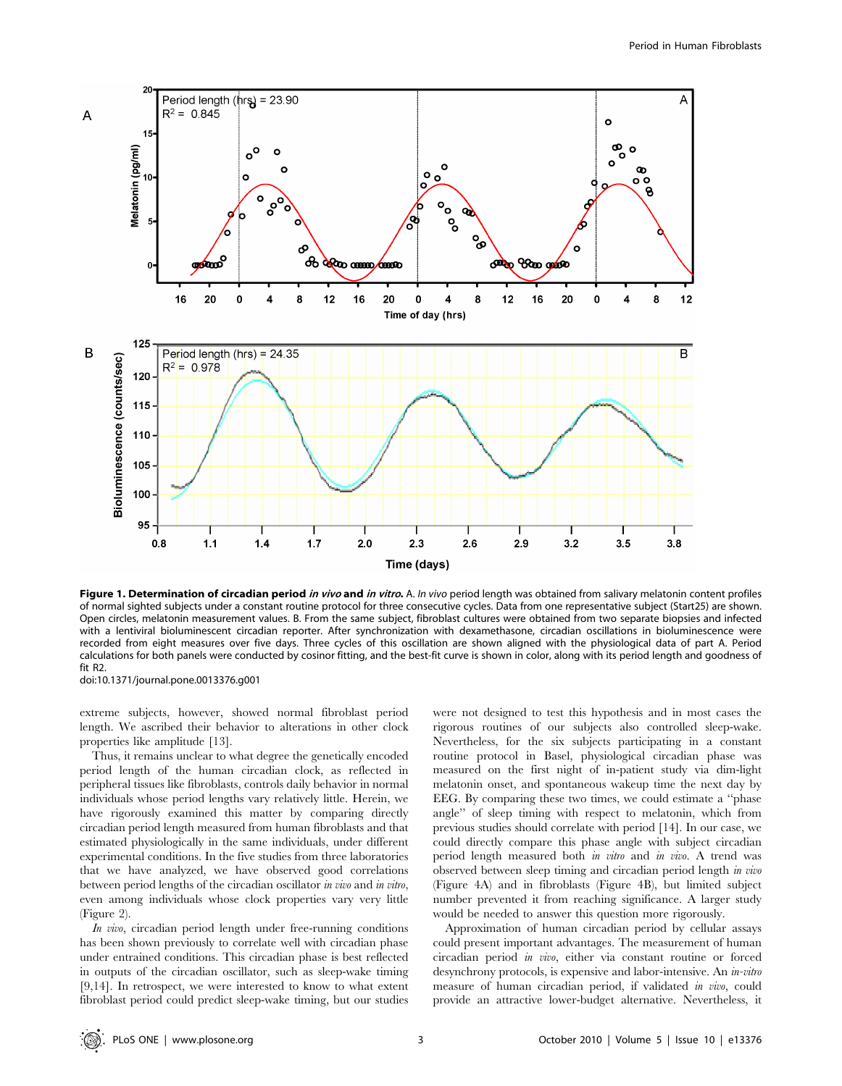

Figure 1. Determination of circadian period in vivo and in vitro. A. In vivo period length was obtained from salivary melatonin content profiles of normal sighted subjects under a constant routine protocol for three consecutive cycles. Data from one representative subject (Start25) are shown. Open circles, melatonin measurement values. B. From the same subject, fibroblast cultures were obtained from two separate biopsies and infected with a lentiviral bioluminescent circadian reporter. After synchronization with dexamethasone, circadian oscillations in bioluminescence were recorded from eight measures over five days. Three cycles of this oscillation are shown aligned with the physiological data of part A. Period calculations for both panels were conducted by cosinor fitting, and the best-fit curve is shown in color, along with its period length and goodness of fit R2.

doi:10.1371/journal.pone.0013376.g001

extreme subjects, however, showed normal fibroblast period length. We ascribed their behavior to alterations in other clock properties like amplitude [13].

Thus, it remains unclear to what degree the genetically encoded period length of the human circadian clock, as reflected in peripheral tissues like fibroblasts, controls daily behavior in normal individuals whose period lengths vary relatively little. Herein, we have rigorously examined this matter by comparing directly circadian period length measured from human fibroblasts and that estimated physiologically in the same individuals, under different experimental conditions. In the five studies from three laboratories that we have analyzed, we have observed good correlations between period lengths of the circadian oscillator in vivo and in vitro, even among individuals whose clock properties vary very little (Figure 2).

In vivo, circadian period length under free-running conditions has been shown previously to correlate well with circadian phase under entrained conditions. This circadian phase is best reflected in outputs of the circadian oscillator, such as sleep-wake timing [9,14]. In retrospect, we were interested to know to what extent fibroblast period could predict sleep-wake timing, but our studies were not designed to test this hypothesis and in most cases the rigorous routines of our subjects also controlled sleep-wake. Nevertheless, for the six subjects participating in a constant routine protocol in Basel, physiological circadian phase was measured on the first night of in-patient study via dim-light melatonin onset, and spontaneous wakeup time the next day by EEG. By comparing these two times, we could estimate a ''phase angle'' of sleep timing with respect to melatonin, which from previous studies should correlate with period [14]. In our case, we could directly compare this phase angle with subject circadian period length measured both in vitro and in vivo. A trend was observed between sleep timing and circadian period length in vivo (Figure 4A) and in fibroblasts (Figure 4B), but limited subject number prevented it from reaching significance. A larger study would be needed to answer this question more rigorously.

Approximation of human circadian period by cellular assays could present important advantages. The measurement of human circadian period in vivo, either via constant routine or forced desynchrony protocols, is expensive and labor-intensive. An *in-vitro* measure of human circadian period, if validated in vivo, could provide an attractive lower-budget alternative. Nevertheless, it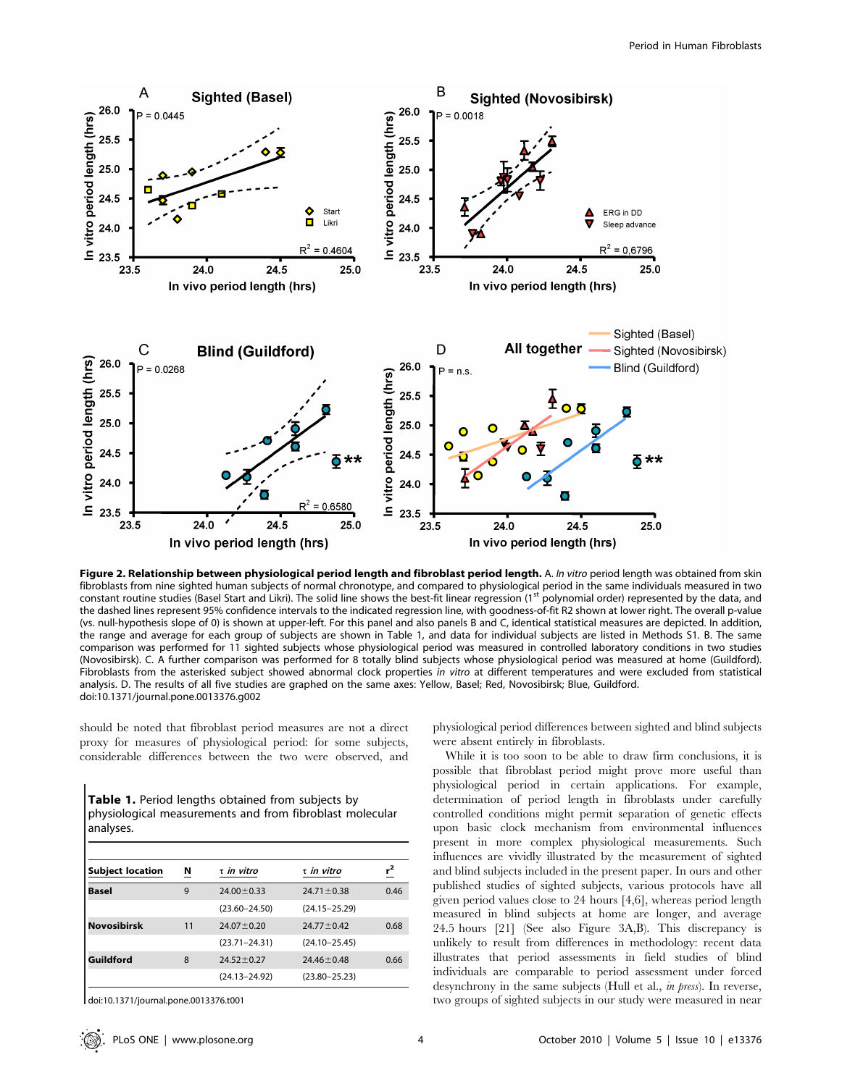

Figure 2. Relationship between physiological period length and fibroblast period length. A. In vitro period length was obtained from skin fibroblasts from nine sighted human subjects of normal chronotype, and compared to physiological period in the same individuals measured in two constant routine studies (Basel Start and Likri). The solid line shows the best-fit linear regression (1<sup>st</sup> polynomial order) represented by the data, and the dashed lines represent 95% confidence intervals to the indicated regression line, with goodness-of-fit R2 shown at lower right. The overall p-value (vs. null-hypothesis slope of 0) is shown at upper-left. For this panel and also panels B and C, identical statistical measures are depicted. In addition, the range and average for each group of subjects are shown in Table 1, and data for individual subjects are listed in Methods S1. B. The same comparison was performed for 11 sighted subjects whose physiological period was measured in controlled laboratory conditions in two studies (Novosibirsk). C. A further comparison was performed for 8 totally blind subjects whose physiological period was measured at home (Guildford). Fibroblasts from the asterisked subject showed abnormal clock properties in vitro at different temperatures and were excluded from statistical analysis. D. The results of all five studies are graphed on the same axes: Yellow, Basel; Red, Novosibirsk; Blue, Guildford. doi:10.1371/journal.pone.0013376.g002

should be noted that fibroblast period measures are not a direct proxy for measures of physiological period: for some subjects, considerable differences between the two were observed, and

| <b>Table 1.</b> Period lengths obtained from subjects by |  |
|----------------------------------------------------------|--|
| physiological measurements and from fibroblast molecular |  |
| analyses.                                                |  |

| <b>Subject location</b> | N  | $\tau$ in vitro   | $\tau$ in vitro   |      |
|-------------------------|----|-------------------|-------------------|------|
| <b>Basel</b>            | 9  | $24.00 \pm 0.33$  | $24.71 \pm 0.38$  | 0.46 |
|                         |    | $(23.60 - 24.50)$ | $(24.15 - 25.29)$ |      |
| <b>Novosibirsk</b>      | 11 | $24.07 \pm 0.20$  | $24.77 \pm 0.42$  | 0.68 |
|                         |    | $(23.71 - 24.31)$ | $(24.10 - 25.45)$ |      |
| Guildford               | 8  | $24.52 \pm 0.27$  | $24.46 \pm 0.48$  | 0.66 |
|                         |    | $(24.13 - 24.92)$ | $(23.80 - 25.23)$ |      |

doi:10.1371/journal.pone.0013376.t001

physiological period differences between sighted and blind subjects were absent entirely in fibroblasts.

While it is too soon to be able to draw firm conclusions, it is possible that fibroblast period might prove more useful than physiological period in certain applications. For example, determination of period length in fibroblasts under carefully controlled conditions might permit separation of genetic effects upon basic clock mechanism from environmental influences present in more complex physiological measurements. Such influences are vividly illustrated by the measurement of sighted and blind subjects included in the present paper. In ours and other published studies of sighted subjects, various protocols have all given period values close to 24 hours [4,6], whereas period length measured in blind subjects at home are longer, and average 24.5 hours [21] (See also Figure 3A,B). This discrepancy is unlikely to result from differences in methodology: recent data illustrates that period assessments in field studies of blind individuals are comparable to period assessment under forced desynchrony in the same subjects (Hull et al., in press). In reverse, two groups of sighted subjects in our study were measured in near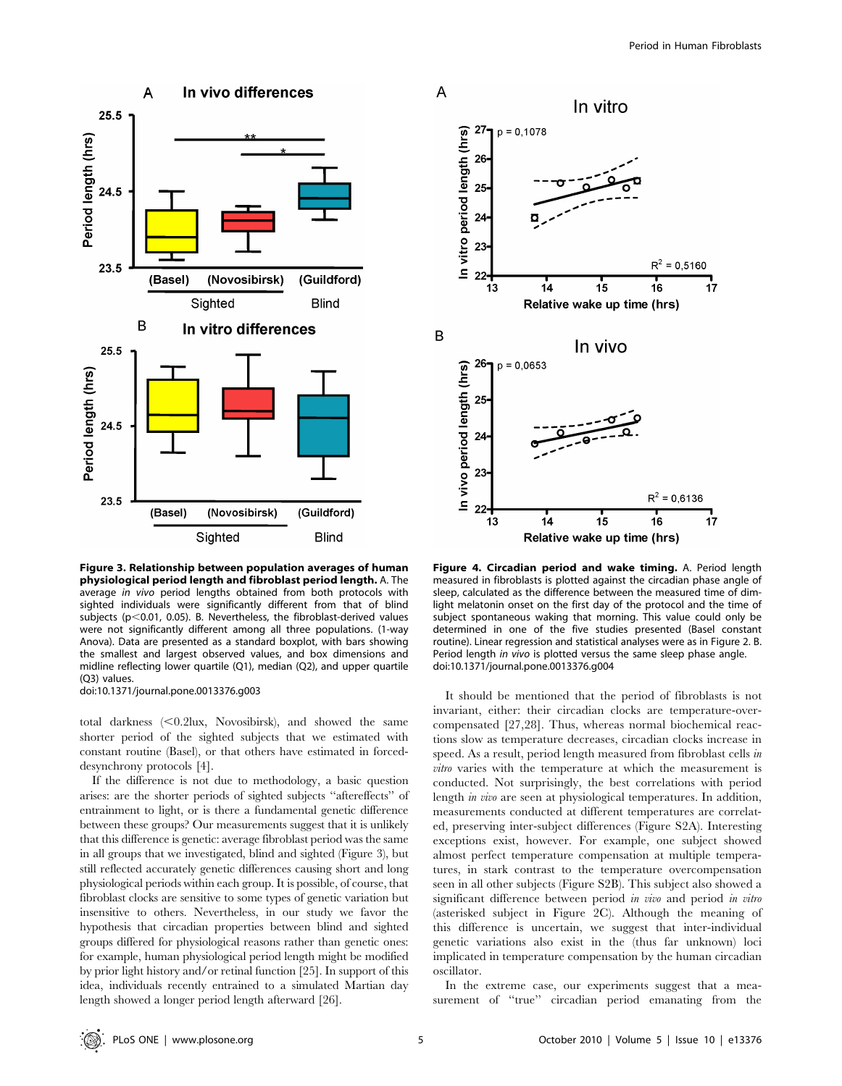

Figure 3. Relationship between population averages of human physiological period length and fibroblast period length. A. The average in vivo period lengths obtained from both protocols with sighted individuals were significantly different from that of blind subjects ( $p<0.01$ , 0.05). B. Nevertheless, the fibroblast-derived values were not significantly different among all three populations. (1-way Anova). Data are presented as a standard boxplot, with bars showing the smallest and largest observed values, and box dimensions and midline reflecting lower quartile (Q1), median (Q2), and upper quartile (Q3) values.

doi:10.1371/journal.pone.0013376.g003

total darkness  $(<0.2$ lux, Novosibirsk), and showed the same shorter period of the sighted subjects that we estimated with constant routine (Basel), or that others have estimated in forceddesynchrony protocols [4].

If the difference is not due to methodology, a basic question arises: are the shorter periods of sighted subjects ''aftereffects'' of entrainment to light, or is there a fundamental genetic difference between these groups? Our measurements suggest that it is unlikely that this difference is genetic: average fibroblast period was the same in all groups that we investigated, blind and sighted (Figure 3), but still reflected accurately genetic differences causing short and long physiological periods within each group. It is possible, of course, that fibroblast clocks are sensitive to some types of genetic variation but insensitive to others. Nevertheless, in our study we favor the hypothesis that circadian properties between blind and sighted groups differed for physiological reasons rather than genetic ones: for example, human physiological period length might be modified by prior light history and/or retinal function [25]. In support of this idea, individuals recently entrained to a simulated Martian day length showed a longer period length afterward [26].



Figure 4. Circadian period and wake timing. A. Period length measured in fibroblasts is plotted against the circadian phase angle of sleep, calculated as the difference between the measured time of dimlight melatonin onset on the first day of the protocol and the time of subject spontaneous waking that morning. This value could only be determined in one of the five studies presented (Basel constant routine). Linear regression and statistical analyses were as in Figure 2. B. Period length in vivo is plotted versus the same sleep phase angle. doi:10.1371/journal.pone.0013376.g004

It should be mentioned that the period of fibroblasts is not invariant, either: their circadian clocks are temperature-overcompensated [27,28]. Thus, whereas normal biochemical reactions slow as temperature decreases, circadian clocks increase in speed. As a result, period length measured from fibroblast cells in *vitro* varies with the temperature at which the measurement is conducted. Not surprisingly, the best correlations with period length in vivo are seen at physiological temperatures. In addition, measurements conducted at different temperatures are correlated, preserving inter-subject differences (Figure S2A). Interesting exceptions exist, however. For example, one subject showed almost perfect temperature compensation at multiple temperatures, in stark contrast to the temperature overcompensation seen in all other subjects (Figure S2B). This subject also showed a significant difference between period in vivo and period in vitro (asterisked subject in Figure 2C). Although the meaning of this difference is uncertain, we suggest that inter-individual genetic variations also exist in the (thus far unknown) loci implicated in temperature compensation by the human circadian oscillator.

In the extreme case, our experiments suggest that a measurement of ''true'' circadian period emanating from the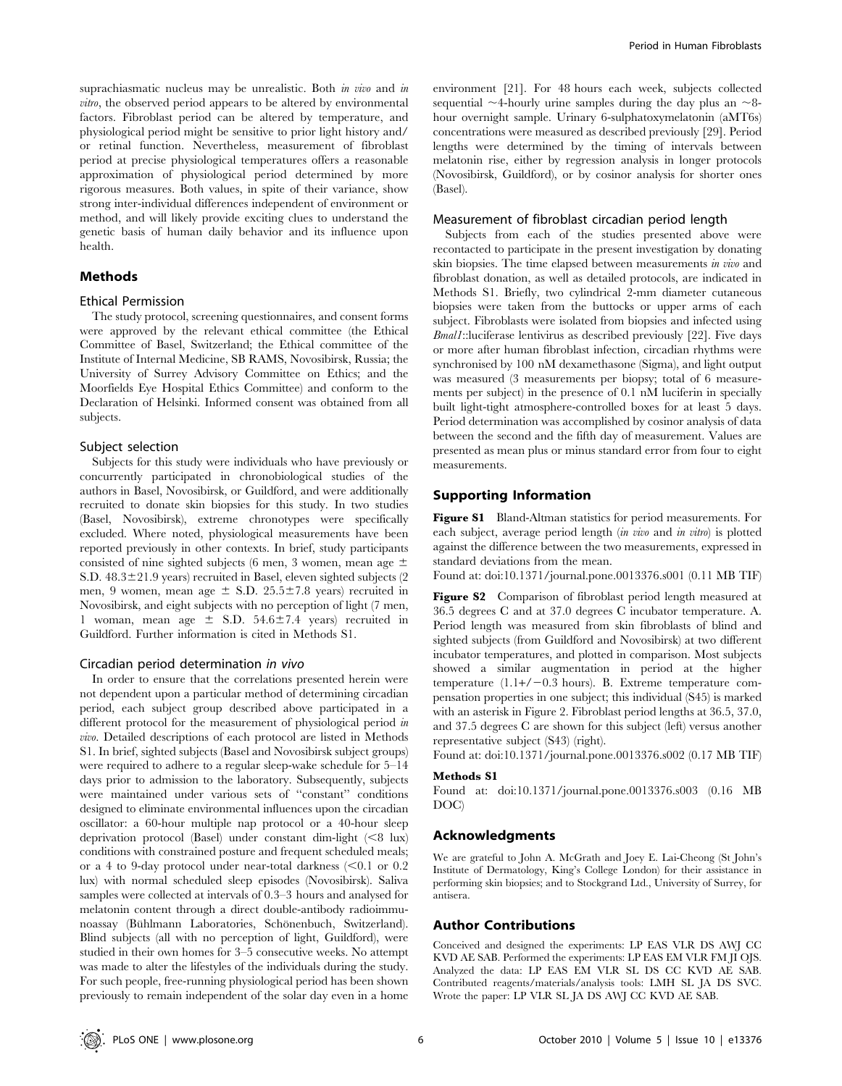suprachiasmatic nucleus may be unrealistic. Both *in vivo* and *in* vitro, the observed period appears to be altered by environmental factors. Fibroblast period can be altered by temperature, and physiological period might be sensitive to prior light history and/ or retinal function. Nevertheless, measurement of fibroblast period at precise physiological temperatures offers a reasonable approximation of physiological period determined by more rigorous measures. Both values, in spite of their variance, show strong inter-individual differences independent of environment or method, and will likely provide exciting clues to understand the genetic basis of human daily behavior and its influence upon health.

# Methods

# Ethical Permission

The study protocol, screening questionnaires, and consent forms were approved by the relevant ethical committee (the Ethical Committee of Basel, Switzerland; the Ethical committee of the Institute of Internal Medicine, SB RAMS, Novosibirsk, Russia; the University of Surrey Advisory Committee on Ethics; and the Moorfields Eye Hospital Ethics Committee) and conform to the Declaration of Helsinki. Informed consent was obtained from all subjects.

#### Subject selection

Subjects for this study were individuals who have previously or concurrently participated in chronobiological studies of the authors in Basel, Novosibirsk, or Guildford, and were additionally recruited to donate skin biopsies for this study. In two studies (Basel, Novosibirsk), extreme chronotypes were specifically excluded. Where noted, physiological measurements have been reported previously in other contexts. In brief, study participants consisted of nine sighted subjects (6 men, 3 women, mean age  $\pm$ S.D.  $48.3 \pm 21.9$  years) recruited in Basel, eleven sighted subjects (2) men, 9 women, mean age  $\pm$  S.D. 25.5 $\pm$ 7.8 years) recruited in Novosibirsk, and eight subjects with no perception of light (7 men, 1 woman, mean age  $\pm$  S.D. 54.6 $\pm$ 7.4 years) recruited in Guildford. Further information is cited in Methods S1.

# Circadian period determination in vivo

In order to ensure that the correlations presented herein were not dependent upon a particular method of determining circadian period, each subject group described above participated in a different protocol for the measurement of physiological period in vivo. Detailed descriptions of each protocol are listed in Methods S1. In brief, sighted subjects (Basel and Novosibirsk subject groups) were required to adhere to a regular sleep-wake schedule for 5–14 days prior to admission to the laboratory. Subsequently, subjects were maintained under various sets of ''constant'' conditions designed to eliminate environmental influences upon the circadian oscillator: a 60-hour multiple nap protocol or a 40-hour sleep deprivation protocol (Basel) under constant dim-light  $(<8$  lux) conditions with constrained posture and frequent scheduled meals; or a 4 to 9-day protocol under near-total darkness  $\approx 0.1$  or 0.2 lux) with normal scheduled sleep episodes (Novosibirsk). Saliva samples were collected at intervals of 0.3–3 hours and analysed for melatonin content through a direct double-antibody radioimmunoassay (Bühlmann Laboratories, Schönenbuch, Switzerland). Blind subjects (all with no perception of light, Guildford), were studied in their own homes for 3–5 consecutive weeks. No attempt was made to alter the lifestyles of the individuals during the study. For such people, free-running physiological period has been shown previously to remain independent of the solar day even in a home

environment [21]. For 48 hours each week, subjects collected sequential  $\sim$ 4-hourly urine samples during the day plus an  $\sim$ 8hour overnight sample. Urinary 6-sulphatoxymelatonin (aMT6s) concentrations were measured as described previously [29]. Period lengths were determined by the timing of intervals between melatonin rise, either by regression analysis in longer protocols (Novosibirsk, Guildford), or by cosinor analysis for shorter ones (Basel).

#### Measurement of fibroblast circadian period length

Subjects from each of the studies presented above were recontacted to participate in the present investigation by donating skin biopsies. The time elapsed between measurements in vivo and fibroblast donation, as well as detailed protocols, are indicated in Methods S1. Briefly, two cylindrical 2-mm diameter cutaneous biopsies were taken from the buttocks or upper arms of each subject. Fibroblasts were isolated from biopsies and infected using Bmal1::luciferase lentivirus as described previously [22]. Five days or more after human fibroblast infection, circadian rhythms were synchronised by 100 nM dexamethasone (Sigma), and light output was measured (3 measurements per biopsy; total of 6 measurements per subject) in the presence of 0.1 nM luciferin in specially built light-tight atmosphere-controlled boxes for at least 5 days. Period determination was accomplished by cosinor analysis of data between the second and the fifth day of measurement. Values are presented as mean plus or minus standard error from four to eight measurements.

## Supporting Information

Figure S1 Bland-Altman statistics for period measurements. For each subject, average period length (in vivo and in vitro) is plotted against the difference between the two measurements, expressed in standard deviations from the mean.

Found at: doi:10.1371/journal.pone.0013376.s001 (0.11 MB TIF)

Figure S2 Comparison of fibroblast period length measured at 36.5 degrees C and at 37.0 degrees C incubator temperature. A. Period length was measured from skin fibroblasts of blind and sighted subjects (from Guildford and Novosibirsk) at two different incubator temperatures, and plotted in comparison. Most subjects showed a similar augmentation in period at the higher temperature  $(1.1+/-0.3$  hours). B. Extreme temperature compensation properties in one subject; this individual (S45) is marked with an asterisk in Figure 2. Fibroblast period lengths at 36.5, 37.0, and 37.5 degrees C are shown for this subject (left) versus another representative subject (S43) (right).

Found at: doi:10.1371/journal.pone.0013376.s002 (0.17 MB TIF)

#### Methods S1

Found at: doi:10.1371/journal.pone.0013376.s003 (0.16 MB DOC)

## Acknowledgments

We are grateful to John A. McGrath and Joey E. Lai-Cheong (St John's Institute of Dermatology, King's College London) for their assistance in performing skin biopsies; and to Stockgrand Ltd., University of Surrey, for antisera.

# Author Contributions

Conceived and designed the experiments: LP EAS VLR DS AWJ CC KVD AE SAB. Performed the experiments: LP EAS EM VLR FM JI OJS. Analyzed the data: LP EAS EM VLR SL DS CC KVD AE SAB. Contributed reagents/materials/analysis tools: LMH SL JA DS SVC. Wrote the paper: LP VLR SL JA DS AWJ CC KVD AE SAB.